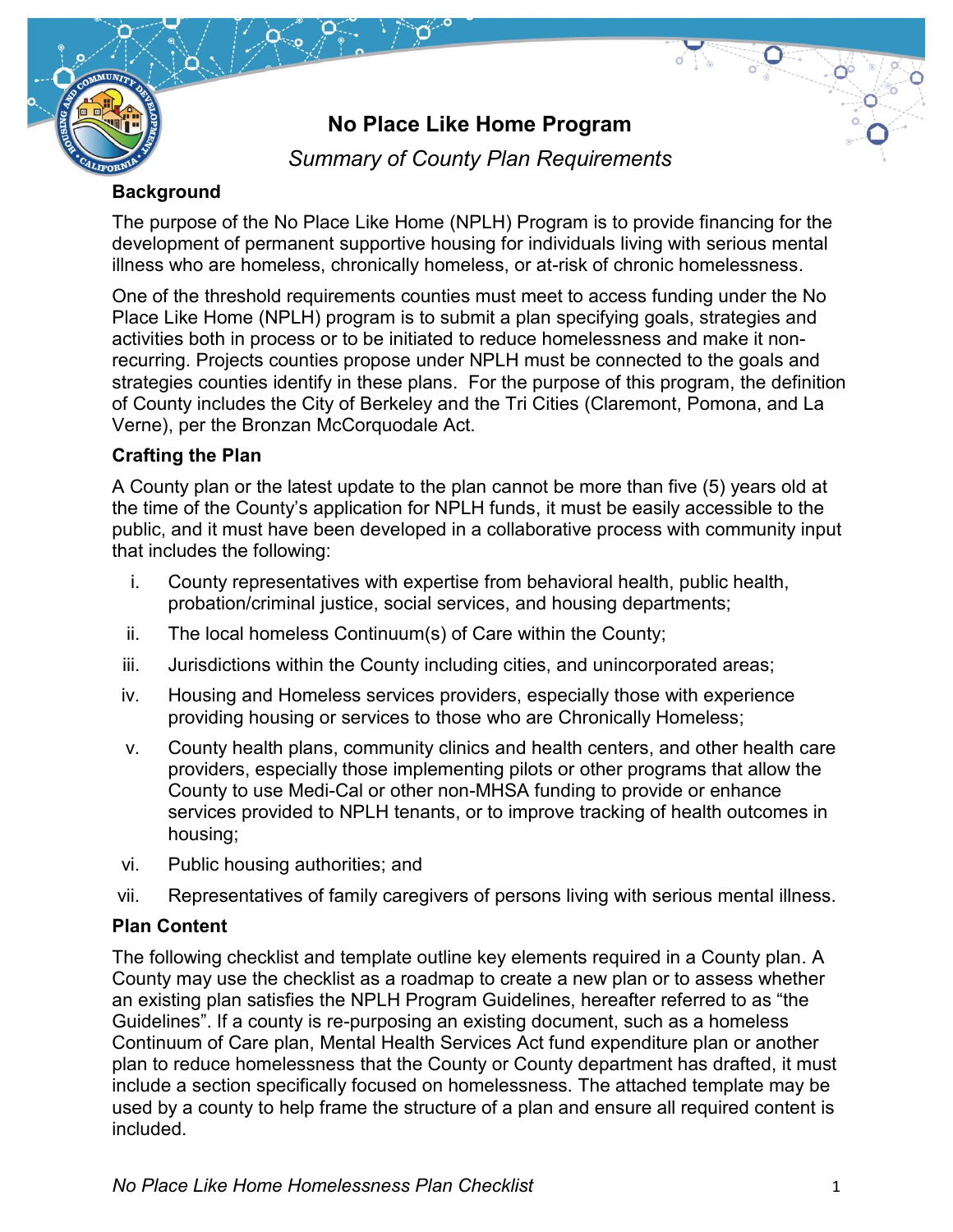

# **No Place Like Home Program**

 $\overline{O_{\circ}}$ 

*Summary of County Plan Requirements*

# **Background**

The purpose of the No Place Like Home (NPLH) Program is to provide financing for the development of permanent supportive housing for individuals living with serious mental illness who are homeless, chronically homeless, or at-risk of chronic homelessness.

One of the threshold requirements counties must meet to access funding under the No Place Like Home (NPLH) program is to submit a plan specifying goals, strategies and activities both in process or to be initiated to reduce homelessness and make it nonrecurring. Projects counties propose under NPLH must be connected to the goals and strategies counties identify in these plans. For the purpose of this program, the definition of County includes the City of Berkeley and the Tri Cities (Claremont, Pomona, and La Verne), per the Bronzan McCorquodale Act.

# **Crafting the Plan**

A County plan or the latest update to the plan cannot be more than five (5) years old at the time of the County's application for NPLH funds, it must be easily accessible to the public, and it must have been developed in a collaborative process with community input that includes the following:

- i. County representatives with expertise from behavioral health, public health, probation/criminal justice, social services, and housing departments;
- ii. The local homeless Continuum(s) of Care within the County;
- iii. Jurisdictions within the County including cities, and unincorporated areas;
- iv. Housing and Homeless services providers, especially those with experience providing housing or services to those who are Chronically Homeless;
- v. County health plans, community clinics and health centers, and other health care providers, especially those implementing pilots or other programs that allow the County to use Medi-Cal or other non-MHSA funding to provide or enhance services provided to NPLH tenants, or to improve tracking of health outcomes in housing;
- vi. Public housing authorities; and
- vii. Representatives of family caregivers of persons living with serious mental illness.

# **Plan Content**

The following checklist and template outline key elements required in a County plan. A County may use the checklist as a roadmap to create a new plan or to assess whether an existing plan satisfies the NPLH Program Guidelines, hereafter referred to as "the Guidelines". If a county is re-purposing an existing document, such as a homeless Continuum of Care plan, Mental Health Services Act fund expenditure plan or another plan to reduce homelessness that the County or County department has drafted, it must include a section specifically focused on homelessness. The attached template may be used by a county to help frame the structure of a plan and ensure all required content is included.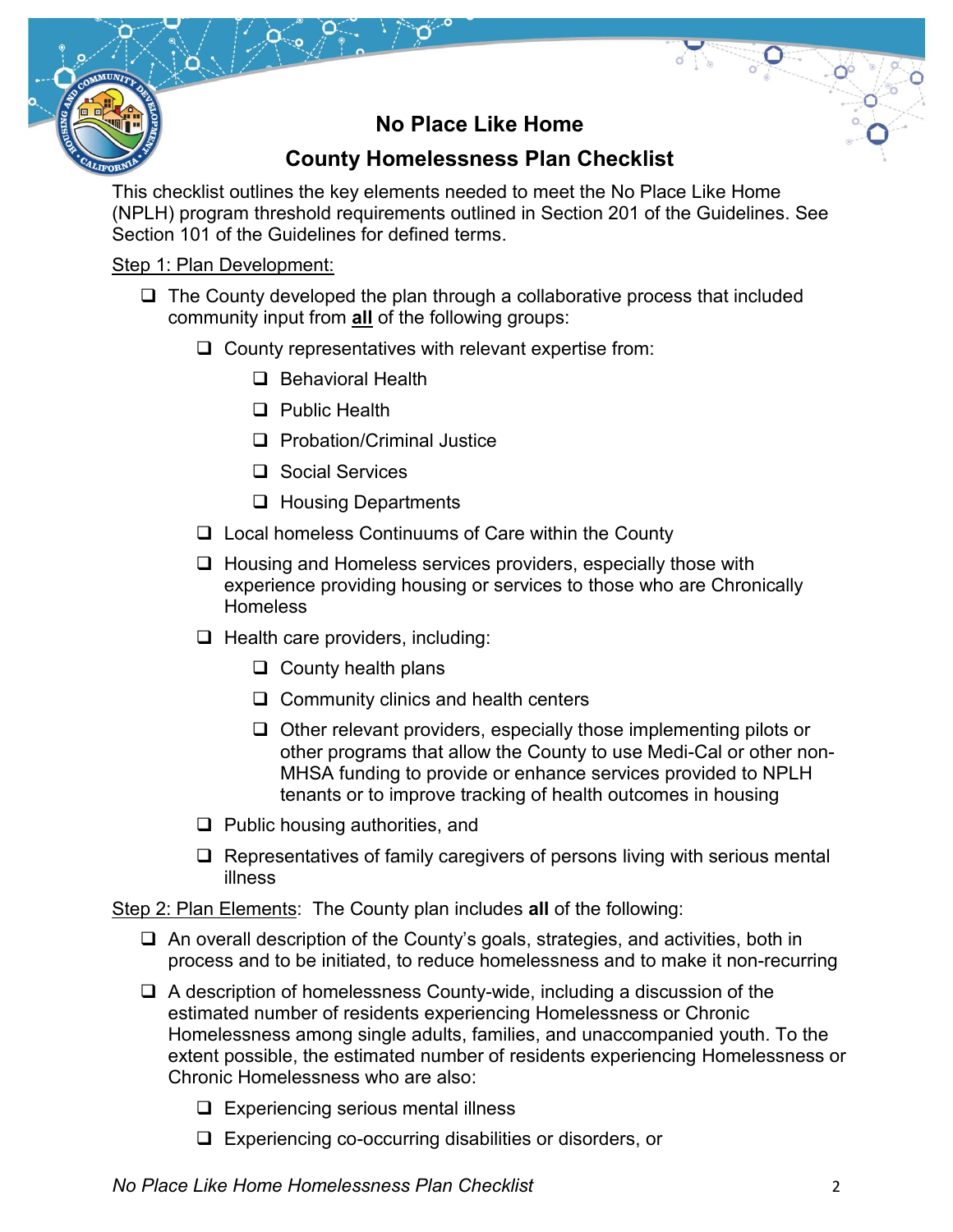# **No Place Like Home**

 $\frac{1}{\sqrt{2}}$ 

# **County Homelessness Plan Checklist**

This checklist outlines the key elements needed to meet the No Place Like Home (NPLH) program threshold requirements outlined in Section 201 of the Guidelines. See Section 101 of the Guidelines for defined terms.

### Step 1: Plan Development:

- $\Box$  The County developed the plan through a collaborative process that included community input from **all** of the following groups:
	- $\Box$  County representatives with relevant expertise from:
		- $\Box$  Behavioral Health
		- □ Public Health
		- □ Probation/Criminal Justice
		- □ Social Services
		- □ Housing Departments
	- □ Local homeless Continuums of Care within the County
	- $\Box$  Housing and Homeless services providers, especially those with experience providing housing or services to those who are Chronically **Homeless**
	- $\Box$  Health care providers, including:
		- $\Box$  County health plans
		- $\Box$  Community clinics and health centers
		- $\Box$  Other relevant providers, especially those implementing pilots or other programs that allow the County to use Medi-Cal or other non-MHSA funding to provide or enhance services provided to NPLH tenants or to improve tracking of health outcomes in housing
	- $\Box$  Public housing authorities, and
	- $\Box$  Representatives of family caregivers of persons living with serious mental illness

Step 2: Plan Elements: The County plan includes **all** of the following:

- An overall description of the County's goals, strategies, and activities, both in process and to be initiated, to reduce homelessness and to make it non-recurring
- $\Box$  A description of homelessness County-wide, including a discussion of the estimated number of residents experiencing Homelessness or Chronic Homelessness among single adults, families, and unaccompanied youth. To the extent possible, the estimated number of residents experiencing Homelessness or Chronic Homelessness who are also:
	- $\Box$  Experiencing serious mental illness
	- Experiencing co-occurring disabilities or disorders, or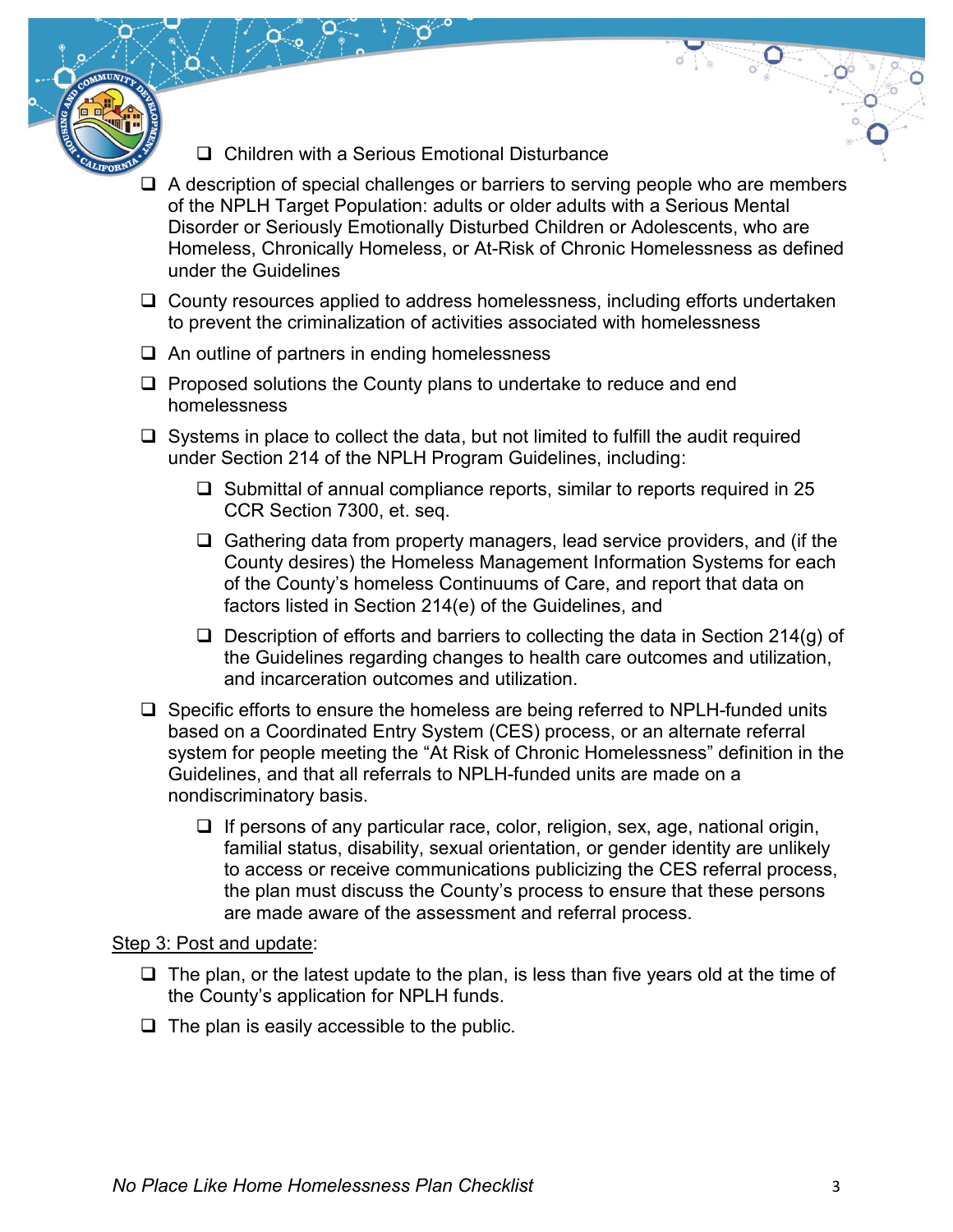- □ Children with a Serious Emotional Disturbance
- $\Box$  A description of special challenges or barriers to serving people who are members of the NPLH Target Population: adults or older adults with a Serious Mental Disorder or Seriously Emotionally Disturbed Children or Adolescents, who are Homeless, Chronically Homeless, or At-Risk of Chronic Homelessness as defined under the Guidelines

 $\frac{1}{2}$ 

- $\Box$  County resources applied to address homelessness, including efforts undertaken to prevent the criminalization of activities associated with homelessness
- $\Box$  An outline of partners in ending homelessness
- $\Box$  Proposed solutions the County plans to undertake to reduce and end homelessness
- $\Box$  Systems in place to collect the data, but not limited to fulfill the audit required under Section 214 of the NPLH Program Guidelines, including:
	- $\square$  Submittal of annual compliance reports, similar to reports required in 25 CCR Section 7300, et. seq.
	- $\Box$  Gathering data from property managers, lead service providers, and (if the County desires) the Homeless Management Information Systems for each of the County's homeless Continuums of Care, and report that data on factors listed in Section 214(e) of the Guidelines, and
	- $\Box$  Description of efforts and barriers to collecting the data in Section 214(g) of the Guidelines regarding changes to health care outcomes and utilization, and incarceration outcomes and utilization.
- $\square$  Specific efforts to ensure the homeless are being referred to NPLH-funded units based on a Coordinated Entry System (CES) process, or an alternate referral system for people meeting the "At Risk of Chronic Homelessness" definition in the Guidelines, and that all referrals to NPLH-funded units are made on a nondiscriminatory basis.
	- $\Box$  If persons of any particular race, color, religion, sex, age, national origin, familial status, disability, sexual orientation, or gender identity are unlikely to access or receive communications publicizing the CES referral process, the plan must discuss the County's process to ensure that these persons are made aware of the assessment and referral process.

#### Step 3: Post and update:

- $\Box$  The plan, or the latest update to the plan, is less than five years old at the time of the County's application for NPLH funds.
- $\Box$  The plan is easily accessible to the public.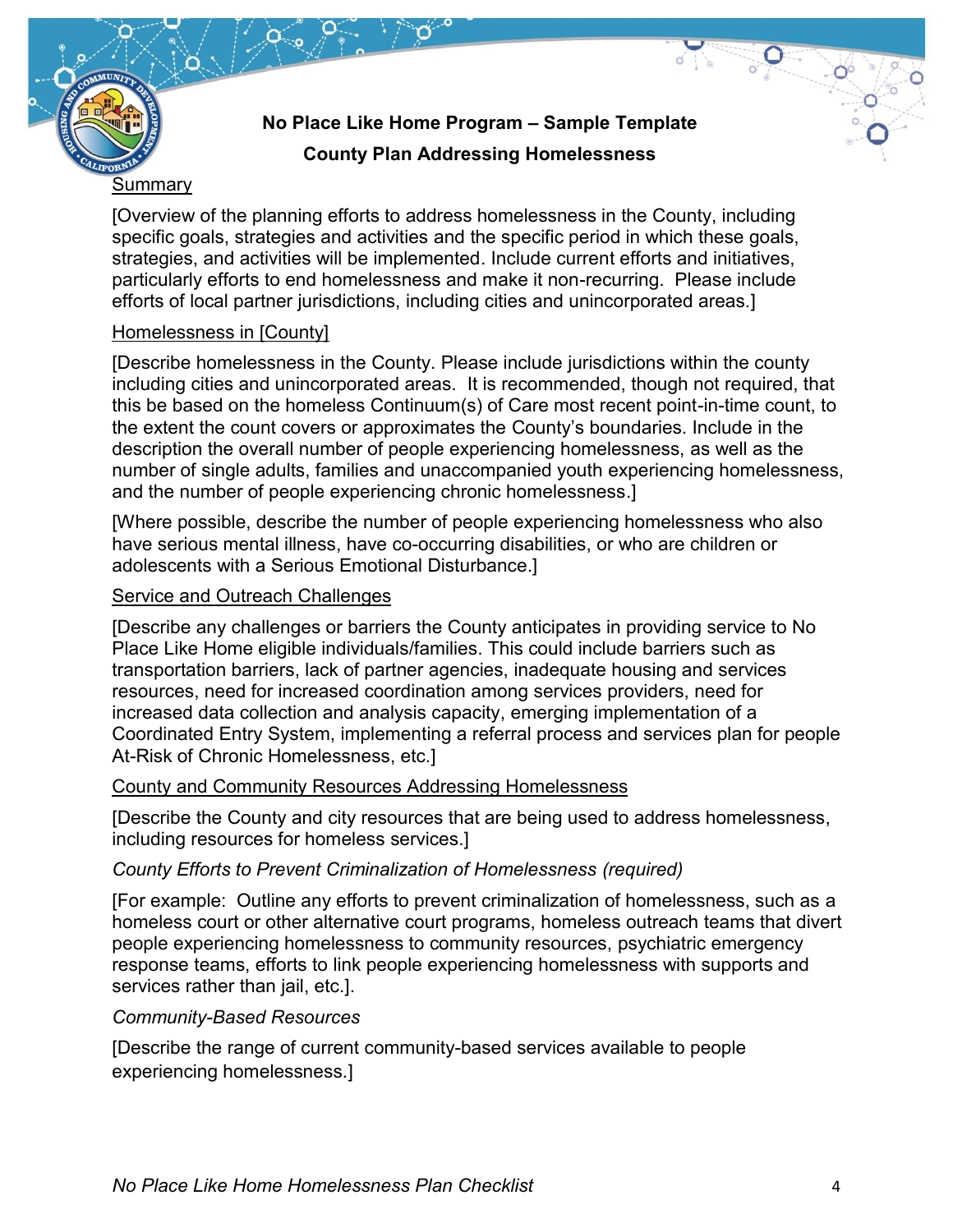

# **No Place Like Home Program – Sample Template County Plan Addressing Homelessness**

[Overview of the planning efforts to address homelessness in the County, including specific goals, strategies and activities and the specific period in which these goals, strategies, and activities will be implemented. Include current efforts and initiatives, particularly efforts to end homelessness and make it non-recurring. Please include efforts of local partner jurisdictions, including cities and unincorporated areas.]

#### Homelessness in [County]

[Describe homelessness in the County. Please include jurisdictions within the county including cities and unincorporated areas. It is recommended, though not required, that this be based on the homeless Continuum(s) of Care most recent point-in-time count, to the extent the count covers or approximates the County's boundaries. Include in the description the overall number of people experiencing homelessness, as well as the number of single adults, families and unaccompanied youth experiencing homelessness, and the number of people experiencing chronic homelessness.]

[Where possible, describe the number of people experiencing homelessness who also have serious mental illness, have co-occurring disabilities, or who are children or adolescents with a Serious Emotional Disturbance.]

#### Service and Outreach Challenges

[Describe any challenges or barriers the County anticipates in providing service to No Place Like Home eligible individuals/families. This could include barriers such as transportation barriers, lack of partner agencies, inadequate housing and services resources, need for increased coordination among services providers, need for increased data collection and analysis capacity, emerging implementation of a Coordinated Entry System, implementing a referral process and services plan for people At-Risk of Chronic Homelessness, etc.]

#### County and Community Resources Addressing Homelessness

[Describe the County and city resources that are being used to address homelessness, including resources for homeless services.]

# *County Efforts to Prevent Criminalization of Homelessness (required)*

[For example: Outline any efforts to prevent criminalization of homelessness, such as a homeless court or other alternative court programs, homeless outreach teams that divert people experiencing homelessness to community resources, psychiatric emergency response teams, efforts to link people experiencing homelessness with supports and services rather than jail, etc.].

# *Community-Based Resources*

[Describe the range of current community-based services available to people experiencing homelessness.]